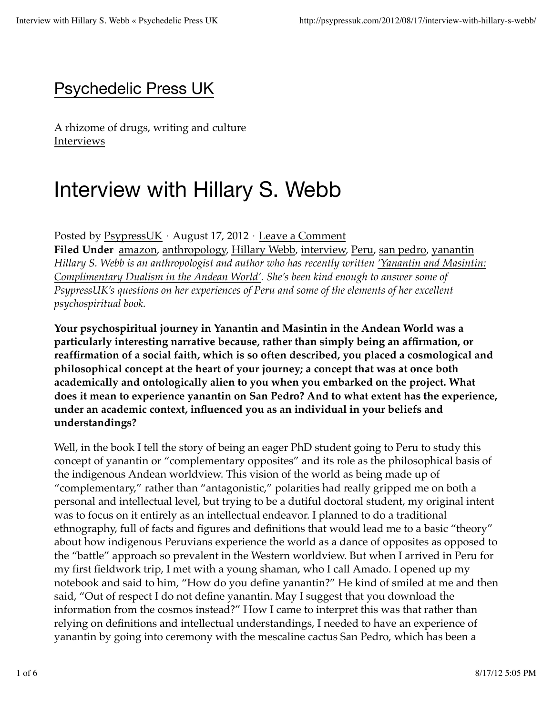### Psychedelic Press UK

A rhizome of drugs, writing and culture Interviews

# Interview with Hillary S. Webb

Posted by PsypressUK ⋅ August 17, 2012 ⋅ Leave a Comment **Filed Under** amazon, anthropology, Hillary Webb, interview, Peru, san pedro, yanantin *Hillary S. Webb is an anthropologist and author who has recently written 'Yanantin and Masintin: Complimentary Dualism in the Andean World'. She's been kind enough to answer some of*

*PsypressUK's questions on her experiences of Peru and some of the elements of her excellent psychospiritual book.* 

**Your psychospiritual journey in Yanantin and Masintin in the Andean World was a particularly interesting narrative because, rather than simply being an affirmation, or reaffirmation of a social faith, which is so often described, you placed a cosmological and philosophical concept at the heart of your journey; a concept that was at once both academically and ontologically alien to you when you embarked on the project. What does it mean to experience yanantin on San Pedro? And to what extent has the experience, under an academic context, influenced you as an individual in your beliefs and understandings?**

Well, in the book I tell the story of being an eager PhD student going to Peru to study this concept of yanantin or "complementary opposites" and its role as the philosophical basis of the indigenous Andean worldview. This vision of the world as being made up of "complementary," rather than "antagonistic," polarities had really gripped me on both a personal and intellectual level, but trying to be a dutiful doctoral student, my original intent was to focus on it entirely as an intellectual endeavor. I planned to do a traditional ethnography, full of facts and figures and definitions that would lead me to a basic "theory" about how indigenous Peruvians experience the world as a dance of opposites as opposed to the "battle" approach so prevalent in the Western worldview. But when I arrived in Peru for my first fieldwork trip, I met with a young shaman, who I call Amado. I opened up my notebook and said to him, "How do you define yanantin?" He kind of smiled at me and then said, "Out of respect I do not define yanantin. May I suggest that you download the information from the cosmos instead?" How I came to interpret this was that rather than relying on definitions and intellectual understandings, I needed to have an experience of yanantin by going into ceremony with the mescaline cactus San Pedro, which has been a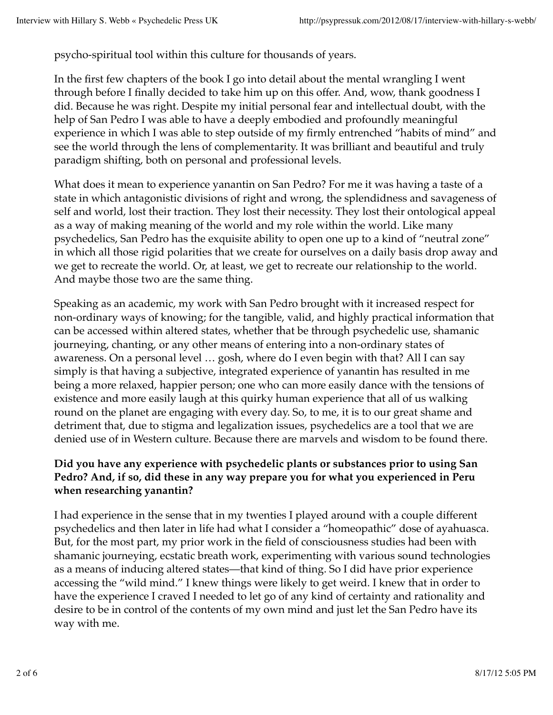psycho-spiritual tool within this culture for thousands of years.

In the first few chapters of the book I go into detail about the mental wrangling I went through before I finally decided to take him up on this offer. And, wow, thank goodness I did. Because he was right. Despite my initial personal fear and intellectual doubt, with the help of San Pedro I was able to have a deeply embodied and profoundly meaningful experience in which I was able to step outside of my firmly entrenched "habits of mind" and see the world through the lens of complementarity. It was brilliant and beautiful and truly paradigm shifting, both on personal and professional levels.

What does it mean to experience yanantin on San Pedro? For me it was having a taste of a state in which antagonistic divisions of right and wrong, the splendidness and savageness of self and world, lost their traction. They lost their necessity. They lost their ontological appeal as a way of making meaning of the world and my role within the world. Like many psychedelics, San Pedro has the exquisite ability to open one up to a kind of "neutral zone" in which all those rigid polarities that we create for ourselves on a daily basis drop away and we get to recreate the world. Or, at least, we get to recreate our relationship to the world. And maybe those two are the same thing.

Speaking as an academic, my work with San Pedro brought with it increased respect for non-ordinary ways of knowing; for the tangible, valid, and highly practical information that can be accessed within altered states, whether that be through psychedelic use, shamanic journeying, chanting, or any other means of entering into a non-ordinary states of awareness. On a personal level … gosh, where do I even begin with that? All I can say simply is that having a subjective, integrated experience of yanantin has resulted in me being a more relaxed, happier person; one who can more easily dance with the tensions of existence and more easily laugh at this quirky human experience that all of us walking round on the planet are engaging with every day. So, to me, it is to our great shame and detriment that, due to stigma and legalization issues, psychedelics are a tool that we are denied use of in Western culture. Because there are marvels and wisdom to be found there.

#### **Did you have any experience with psychedelic plants or substances prior to using San Pedro? And, if so, did these in any way prepare you for what you experienced in Peru when researching yanantin?**

I had experience in the sense that in my twenties I played around with a couple different psychedelics and then later in life had what I consider a "homeopathic" dose of ayahuasca. But, for the most part, my prior work in the field of consciousness studies had been with shamanic journeying, ecstatic breath work, experimenting with various sound technologies as a means of inducing altered states—that kind of thing. So I did have prior experience accessing the "wild mind." I knew things were likely to get weird. I knew that in order to have the experience I craved I needed to let go of any kind of certainty and rationality and desire to be in control of the contents of my own mind and just let the San Pedro have its way with me.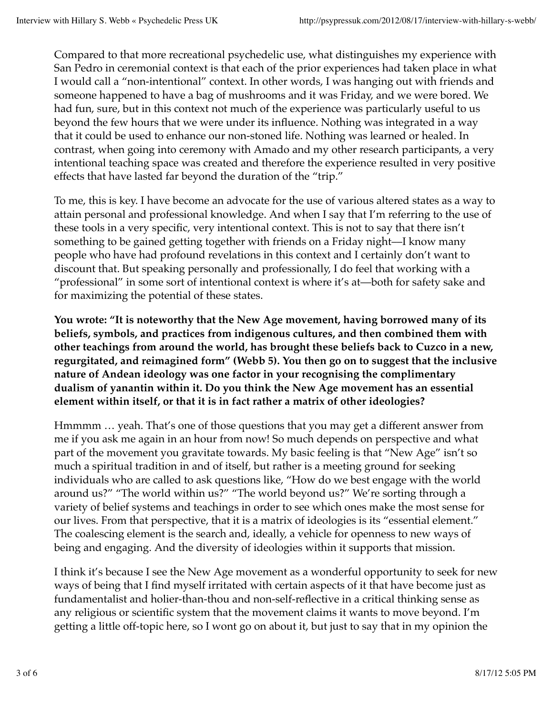Compared to that more recreational psychedelic use, what distinguishes my experience with San Pedro in ceremonial context is that each of the prior experiences had taken place in what I would call a "non-intentional" context. In other words, I was hanging out with friends and someone happened to have a bag of mushrooms and it was Friday, and we were bored. We had fun, sure, but in this context not much of the experience was particularly useful to us beyond the few hours that we were under its influence. Nothing was integrated in a way that it could be used to enhance our non-stoned life. Nothing was learned or healed. In contrast, when going into ceremony with Amado and my other research participants, a very intentional teaching space was created and therefore the experience resulted in very positive effects that have lasted far beyond the duration of the "trip."

To me, this is key. I have become an advocate for the use of various altered states as a way to attain personal and professional knowledge. And when I say that I'm referring to the use of these tools in a very specific, very intentional context. This is not to say that there isn't something to be gained getting together with friends on a Friday night––I know many people who have had profound revelations in this context and I certainly don't want to discount that. But speaking personally and professionally, I do feel that working with a "professional" in some sort of intentional context is where it's at—both for safety sake and for maximizing the potential of these states.

**You wrote: "It is noteworthy that the New Age movement, having borrowed many of its beliefs, symbols, and practices from indigenous cultures, and then combined them with other teachings from around the world, has brought these beliefs back to Cuzco in a new, regurgitated, and reimagined form" (Webb 5). You then go on to suggest that the inclusive nature of Andean ideology was one factor in your recognising the complimentary dualism of yanantin within it. Do you think the New Age movement has an essential element within itself, or that it is in fact rather a matrix of other ideologies?**

Hmmmm … yeah. That's one of those questions that you may get a different answer from me if you ask me again in an hour from now! So much depends on perspective and what part of the movement you gravitate towards. My basic feeling is that "New Age" isn't so much a spiritual tradition in and of itself, but rather is a meeting ground for seeking individuals who are called to ask questions like, "How do we best engage with the world around us?" "The world within us?" "The world beyond us?" We're sorting through a variety of belief systems and teachings in order to see which ones make the most sense for our lives. From that perspective, that it is a matrix of ideologies is its "essential element." The coalescing element is the search and, ideally, a vehicle for openness to new ways of being and engaging. And the diversity of ideologies within it supports that mission.

I think it's because I see the New Age movement as a wonderful opportunity to seek for new ways of being that I find myself irritated with certain aspects of it that have become just as fundamentalist and holier-than-thou and non-self-reflective in a critical thinking sense as any religious or scientific system that the movement claims it wants to move beyond. I'm getting a little off-topic here, so I wont go on about it, but just to say that in my opinion the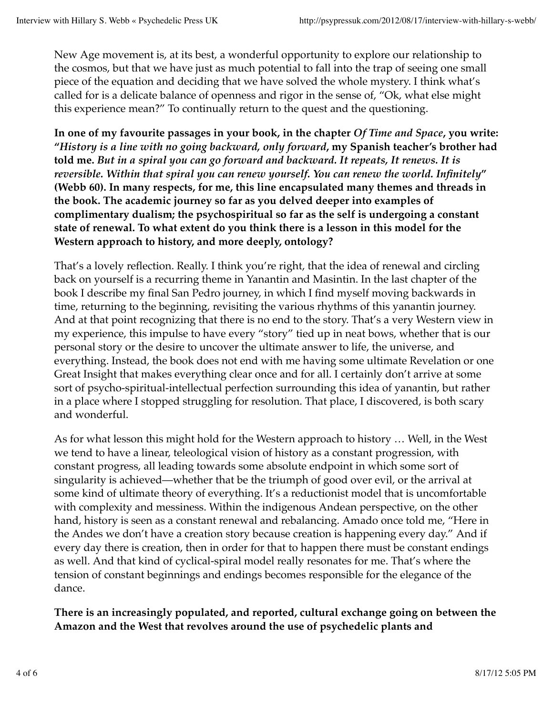New Age movement is, at its best, a wonderful opportunity to explore our relationship to the cosmos, but that we have just as much potential to fall into the trap of seeing one small piece of the equation and deciding that we have solved the whole mystery. I think what's called for is a delicate balance of openness and rigor in the sense of, "Ok, what else might this experience mean?" To continually return to the quest and the questioning.

**In one of my favourite passages in your book, in the chapter** *Of Time and Space***, you write: "***History is a line with no going backward, only forward***, my Spanish teacher's brother had told me.** *But in a spiral you can go forward and backward. It repeats, It renews. It is reversible. Within that spiral you can renew yourself. You can renew the world. Infinitely***" (Webb 60). In many respects, for me, this line encapsulated many themes and threads in the book. The academic journey so far as you delved deeper into examples of complimentary dualism; the psychospiritual so far as the self is undergoing a constant state of renewal. To what extent do you think there is a lesson in this model for the Western approach to history, and more deeply, ontology?**

That's a lovely reflection. Really. I think you're right, that the idea of renewal and circling back on yourself is a recurring theme in Yanantin and Masintin. In the last chapter of the book I describe my final San Pedro journey, in which I find myself moving backwards in time, returning to the beginning, revisiting the various rhythms of this yanantin journey. And at that point recognizing that there is no end to the story. That's a very Western view in my experience, this impulse to have every "story" tied up in neat bows, whether that is our personal story or the desire to uncover the ultimate answer to life, the universe, and everything. Instead, the book does not end with me having some ultimate Revelation or one Great Insight that makes everything clear once and for all. I certainly don't arrive at some sort of psycho-spiritual-intellectual perfection surrounding this idea of yanantin, but rather in a place where I stopped struggling for resolution. That place, I discovered, is both scary and wonderful.

As for what lesson this might hold for the Western approach to history … Well, in the West we tend to have a linear, teleological vision of history as a constant progression, with constant progress, all leading towards some absolute endpoint in which some sort of singularity is achieved—whether that be the triumph of good over evil, or the arrival at some kind of ultimate theory of everything. It's a reductionist model that is uncomfortable with complexity and messiness. Within the indigenous Andean perspective, on the other hand, history is seen as a constant renewal and rebalancing. Amado once told me, "Here in the Andes we don't have a creation story because creation is happening every day." And if every day there is creation, then in order for that to happen there must be constant endings as well. And that kind of cyclical-spiral model really resonates for me. That's where the tension of constant beginnings and endings becomes responsible for the elegance of the dance.

**There is an increasingly populated, and reported, cultural exchange going on between the Amazon and the West that revolves around the use of psychedelic plants and**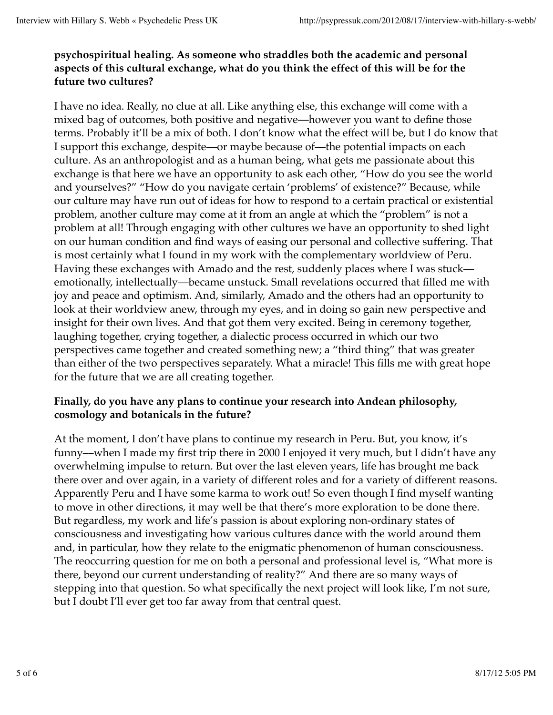#### **psychospiritual healing. As someone who straddles both the academic and personal aspects of this cultural exchange, what do you think the effect of this will be for the future two cultures?**

I have no idea. Really, no clue at all. Like anything else, this exchange will come with a mixed bag of outcomes, both positive and negative—however you want to define those terms. Probably it'll be a mix of both. I don't know what the effect will be, but I do know that I support this exchange, despite—or maybe because of—the potential impacts on each culture. As an anthropologist and as a human being, what gets me passionate about this exchange is that here we have an opportunity to ask each other, "How do you see the world and yourselves?" "How do you navigate certain 'problems' of existence?" Because, while our culture may have run out of ideas for how to respond to a certain practical or existential problem, another culture may come at it from an angle at which the "problem" is not a problem at all! Through engaging with other cultures we have an opportunity to shed light on our human condition and find ways of easing our personal and collective suffering. That is most certainly what I found in my work with the complementary worldview of Peru. Having these exchanges with Amado and the rest, suddenly places where I was stuck emotionally, intellectually—became unstuck. Small revelations occurred that filled me with joy and peace and optimism. And, similarly, Amado and the others had an opportunity to look at their worldview anew, through my eyes, and in doing so gain new perspective and insight for their own lives. And that got them very excited. Being in ceremony together, laughing together, crying together, a dialectic process occurred in which our two perspectives came together and created something new; a "third thing" that was greater than either of the two perspectives separately. What a miracle! This fills me with great hope for the future that we are all creating together.

#### **Finally, do you have any plans to continue your research into Andean philosophy, cosmology and botanicals in the future?**

At the moment, I don't have plans to continue my research in Peru. But, you know, it's funny––when I made my first trip there in 2000 I enjoyed it very much, but I didn't have any overwhelming impulse to return. But over the last eleven years, life has brought me back there over and over again, in a variety of different roles and for a variety of different reasons. Apparently Peru and I have some karma to work out! So even though I find myself wanting to move in other directions, it may well be that there's more exploration to be done there. But regardless, my work and life's passion is about exploring non-ordinary states of consciousness and investigating how various cultures dance with the world around them and, in particular, how they relate to the enigmatic phenomenon of human consciousness. The reoccurring question for me on both a personal and professional level is, "What more is there, beyond our current understanding of reality?" And there are so many ways of stepping into that question. So what specifically the next project will look like, I'm not sure, but I doubt I'll ever get too far away from that central quest.